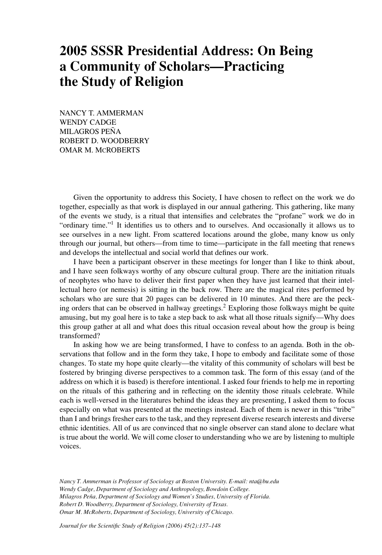# **2005 SSSR Presidential Address: On Being a Community of Scholars—Practicing the Study of Religion**

NANCY T. AMMERMAN WENDY CADGE MILAGROS PEÑA ROBERT D. WOODBERRY OMAR M. MCROBERTS

Given the opportunity to address this Society, I have chosen to reflect on the work we do together, especially as that work is displayed in our annual gathering. This gathering, like many of the events we study, is a ritual that intensifies and celebrates the "profane" work we do in "ordinary time."1 It identifies us to others and to ourselves. And occasionally it allows us to see ourselves in a new light. From scattered locations around the globe, many know us only through our journal, but others—from time to time—participate in the fall meeting that renews and develops the intellectual and social world that defines our work.

I have been a participant observer in these meetings for longer than I like to think about, and I have seen folkways worthy of any obscure cultural group. There are the initiation rituals of neophytes who have to deliver their first paper when they have just learned that their intellectual hero (or nemesis) is sitting in the back row. There are the magical rites performed by scholars who are sure that 20 pages can be delivered in 10 minutes. And there are the pecking orders that can be observed in hallway greetings.<sup>2</sup> Exploring those folkways might be quite amusing, but my goal here is to take a step back to ask what all those rituals signify—Why does this group gather at all and what does this ritual occasion reveal about how the group is being transformed?

In asking how we are being transformed, I have to confess to an agenda. Both in the observations that follow and in the form they take, I hope to embody and facilitate some of those changes. To state my hope quite clearly—the vitality of this community of scholars will best be fostered by bringing diverse perspectives to a common task. The form of this essay (and of the address on which it is based) is therefore intentional. I asked four friends to help me in reporting on the rituals of this gathering and in reflecting on the identity those rituals celebrate. While each is well-versed in the literatures behind the ideas they are presenting, I asked them to focus especially on what was presented at the meetings instead. Each of them is newer in this "tribe" than I and brings fresher ears to the task, and they represent diverse research interests and diverse ethnic identities. All of us are convinced that no single observer can stand alone to declare what is true about the world. We will come closer to understanding who we are by listening to multiple voices.

*Nancy T. Ammerman is Professor of Sociology at Boston University. E-mail: nta@bu.edu Wendy Cadge, Department of Sociology and Anthropology, Bowdoin College. Milagros Peña, Department of Sociology and Women's Studies, University of Florida. Robert D. Woodberry, Department of Sociology, University of Texas. Omar M. McRoberts, Department of Sociology, University of Chicago.*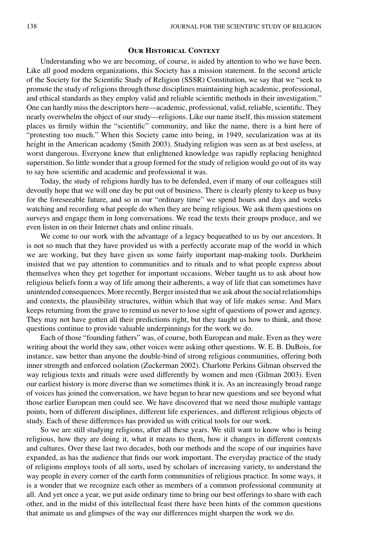# **OUR HISTORICAL CONTEXT**

Understanding who we are becoming, of course, is aided by attention to who we have been. Like all good modern organizations, this Society has a mission statement. In the second article of the Society for the Scientific Study of Religion (SSSR) Constitution, we say that we "seek to promote the study of religions through those disciplines maintaining high academic, professional, and ethical standards as they employ valid and reliable scientific methods in their investigation." One can hardly miss the descriptors here—academic, professional, valid, reliable, scientific. They nearly overwhelm the object of our study—religions. Like our name itself, this mission statement places us firmly within the "scientific" community, and like the name, there is a hint here of "protesting too much." When this Society came into being, in 1949, secularization was at its height in the American academy (Smith 2003). Studying religion was seen as at best useless, at worst dangerous. Everyone knew that enlightened knowledge was rapidly replacing benighted superstition. So little wonder that a group formed for the study of religion would go out of its way to say how scientific and academic and professional it was.

Today, the study of religions hardly has to be defended, even if many of our colleagues still devoutly hope that we will one day be put out of business. There is clearly plenty to keep us busy for the foreseeable future, and so in our "ordinary time" we spend hours and days and weeks watching and recording what people do when they are being religious. We ask them questions on surveys and engage them in long conversations. We read the texts their groups produce, and we even listen in on their Internet chats and online rituals.

We come to our work with the advantage of a legacy bequeathed to us by our ancestors. It is not so much that they have provided us with a perfectly accurate map of the world in which we are working, but they have given us some fairly important map-making tools. Durkheim insisted that we pay attention to communities and to rituals and to what people express about themselves when they get together for important occasions. Weber taught us to ask about how religious beliefs form a way of life among their adherents, a way of life that can sometimes have unintended consequences. More recently, Berger insisted that we ask about the social relationships and contexts, the plausibility structures, within which that way of life makes sense. And Marx keeps returning from the grave to remind us never to lose sight of questions of power and agency. They may not have gotten all their predictions right, but they taught us how to think, and those questions continue to provide valuable underpinnings for the work we do.

Each of those "founding fathers" was, of course, both European and male. Even as they were writing about the world they saw, other voices were asking other questions. W. E. B. DuBois, for instance, saw better than anyone the double-bind of strong religious communities, offering both inner strength and enforced isolation (Zuckerman 2002). Charlotte Perkins Gilman observed the way religious texts and rituals were used differently by women and men (Gilman 2003). Even our earliest history is more diverse than we sometimes think it is. As an increasingly broad range of voices has joined the conversation, we have begun to hear new questions and see beyond what those earlier European men could see. We have discovered that we need those multiple vantage points, born of different disciplines, different life experiences, and different religious objects of study. Each of these differences has provided us with critical tools for our work.

So we are still studying religions, after all these years. We still want to know who is being religious, how they are doing it, what it means to them, how it changes in different contexts and cultures. Over these last two decades, both our methods and the scope of our inquiries have expanded, as has the audience that finds our work important. The everyday practice of the study of religions employs tools of all sorts, used by scholars of increasing variety, to understand the way people in every corner of the earth form communities of religious practice. In some ways, it is a wonder that we recognize each other as members of a common professional community at all. And yet once a year, we put aside ordinary time to bring our best offerings to share with each other, and in the midst of this intellectual feast there have been hints of the common questions that animate us and glimpses of the way our differences might sharpen the work we do.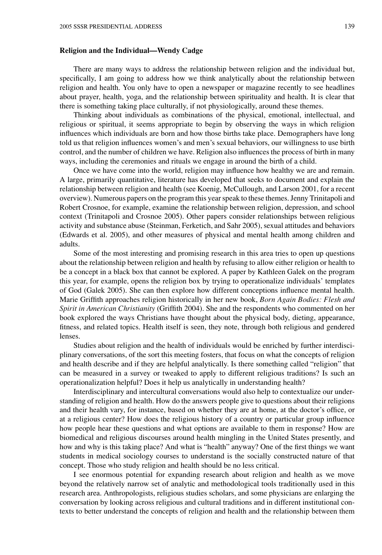# **Religion and the Individual—Wendy Cadge**

There are many ways to address the relationship between religion and the individual but, specifically, I am going to address how we think analytically about the relationship between religion and health. You only have to open a newspaper or magazine recently to see headlines about prayer, health, yoga, and the relationship between spirituality and health. It is clear that there is something taking place culturally, if not physiologically, around these themes.

Thinking about individuals as combinations of the physical, emotional, intellectual, and religious or spiritual, it seems appropriate to begin by observing the ways in which religion influences which individuals are born and how those births take place. Demographers have long told us that religion influences women's and men's sexual behaviors, our willingness to use birth control, and the number of children we have. Religion also influences the process of birth in many ways, including the ceremonies and rituals we engage in around the birth of a child.

Once we have come into the world, religion may influence how healthy we are and remain. A large, primarily quantitative, literature has developed that seeks to document and explain the relationship between religion and health (see Koenig, McCullough, and Larson 2001, for a recent overview). Numerous papers on the program this year speak to these themes. Jenny Trinitapoli and Robert Crosnoe, for example, examine the relationship between religion, depression, and school context (Trinitapoli and Crosnoe 2005). Other papers consider relationships between religious activity and substance abuse (Steinman, Ferketich, and Sahr 2005), sexual attitudes and behaviors (Edwards et al. 2005), and other measures of physical and mental health among children and adults.

Some of the most interesting and promising research in this area tries to open up questions about the relationship between religion and health by refusing to allow either religion or health to be a concept in a black box that cannot be explored. A paper by Kathleen Galek on the program this year, for example, opens the religion box by trying to operationalize individuals' templates of God (Galek 2005). She can then explore how different conceptions influence mental health. Marie Griffith approaches religion historically in her new book, *Born Again Bodies: Flesh and Spirit in American Christianity* (Griffith 2004). She and the respondents who commented on her book explored the ways Christians have thought about the physical body, dieting, appearance, fitness, and related topics. Health itself is seen, they note, through both religious and gendered lenses.

Studies about religion and the health of individuals would be enriched by further interdisciplinary conversations, of the sort this meeting fosters, that focus on what the concepts of religion and health describe and if they are helpful analytically. Is there something called "religion" that can be measured in a survey or tweaked to apply to different religious traditions? Is such an operationalization helpful? Does it help us analytically in understanding health?

Interdisciplinary and intercultural conversations would also help to contextualize our understanding of religion and health. How do the answers people give to questions about their religions and their health vary, for instance, based on whether they are at home, at the doctor's office, or at a religious center? How does the religious history of a country or particular group influence how people hear these questions and what options are available to them in response? How are biomedical and religious discourses around health mingling in the United States presently, and how and why is this taking place? And what is "health" anyway? One of the first things we want students in medical sociology courses to understand is the socially constructed nature of that concept. Those who study religion and health should be no less critical.

I see enormous potential for expanding research about religion and health as we move beyond the relatively narrow set of analytic and methodological tools traditionally used in this research area. Anthropologists, religious studies scholars, and some physicians are enlarging the conversation by looking across religious and cultural traditions and in different institutional contexts to better understand the concepts of religion and health and the relationship between them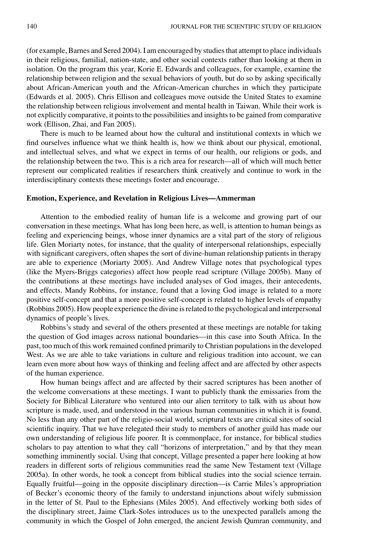(for example, Barnes and Sered 2004). I am encouraged by studies that attempt to place individuals in their religious, familial, nation-state, and other social contexts rather than looking at them in isolation. On the program this year, Korie E. Edwards and colleagues, for example, examine the relationship between religion and the sexual behaviors of youth, but do so by asking specifically about African-American youth and the African-American churches in which they participate (Edwards et al. 2005). Chris Ellison and colleagues move outside the United States to examine the relationship between religious involvement and mental health in Taiwan. While their work is not explicitly comparative, it points to the possibilities and insights to be gained from comparative work (Ellison, Zhai, and Fan 2005).

There is much to be learned about how the cultural and institutional contexts in which we find ourselves influence what we think health is, how we think about our physical, emotional, and intellectual selves, and what we expect in terms of our health, our religions or gods, and the relationship between the two. This is a rich area for research—all of which will much better represent our complicated realities if researchers think creatively and continue to work in the interdisciplinary contexts these meetings foster and encourage.

# **Emotion, Experience, and Revelation in Religious Lives—Ammerman**

Attention to the embodied reality of human life is a welcome and growing part of our conversation in these meetings. What has long been here, as well, is attention to human beings as feeling and experiencing beings, whose inner dynamics are a vital part of the story of religious life. Glen Moriarty notes, for instance, that the quality of interpersonal relationships, especially with significant caregivers, often shapes the sort of divine-human relationship patients in therapy are able to experience (Moriarty 2005). And Andrew Village notes that psychological types (like the Myers-Briggs categories) affect how people read scripture (Village 2005b). Many of the contributions at these meetings have included analyses of God images, their antecedents, and effects. Mandy Robbins, for instance, found that a loving God image is related to a more positive self-concept and that a more positive self-concept is related to higher levels of empathy (Robbins 2005). How people experience the divine is related to the psychological and interpersonal dynamics of people's lives.

Robbins's study and several of the others presented at these meetings are notable for taking the question of God images across national boundaries—in this case into South Africa. In the past, too much of this work remained confined primarily to Christian populations in the developed West. As we are able to take variations in culture and religious tradition into account, we can learn even more about how ways of thinking and feeling affect and are affected by other aspects of the human experience.

How human beings affect and are affected by their sacred scriptures has been another of the welcome conversations at these meetings. I want to publicly thank the emissaries from the Society for Biblical Literature who ventured into our alien territory to talk with us about how scripture is made, used, and understood in the various human communities in which it is found. No less than any other part of the religio-social world, scriptural texts are critical sites of social scientific inquiry. That we have relegated their study to members of another guild has made our own understanding of religious life poorer. It is commonplace, for instance, for biblical studies scholars to pay attention to what they call "horizons of interpretation," and by that they mean something imminently social. Using that concept, Village presented a paper here looking at how readers in different sorts of religious communities read the same New Testament text (Village 2005a). In other words, he took a concept from biblical studies into the social science terrain. Equally fruitful—going in the opposite disciplinary direction—is Carrie Miles's appropriation of Becker's economic theory of the family to understand injunctions about wifely submission in the letter of St. Paul to the Ephesians (Miles 2005). And effectively working both sides of the disciplinary street, Jaime Clark-Soles introduces us to the unexpected parallels among the community in which the Gospel of John emerged, the ancient Jewish Qumran community, and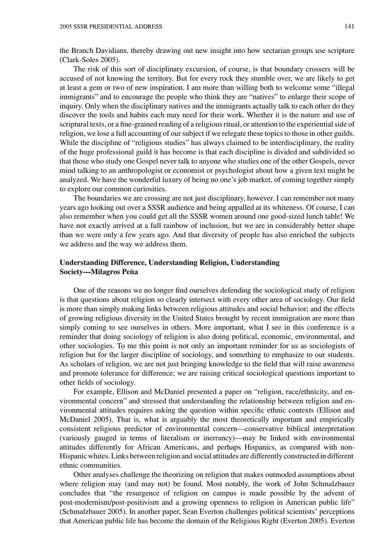the Branch Davidians, thereby drawing out new insight into how sectarian groups use scripture (Clark-Soles 2005).

The risk of this sort of disciplinary excursion, of course, is that boundary crossers will be accused of not knowing the territory. But for every rock they stumble over, we are likely to get at least a gem or two of new inspiration. I am more than willing both to welcome some "illegal immigrants" and to encourage the people who think they are "natives" to enlarge their scope of inquiry. Only when the disciplinary natives and the immigrants actually talk to each other do they discover the tools and habits each may need for their work. Whether it is the nature and use of scriptural texts, or a fine-grained reading of a religious ritual, or attention to the experiential side of religion, we lose a full accounting of our subject if we relegate these topics to those in other guilds. While the discipline of "religious studies" has always claimed to be interdisciplinary, the reality of the huge professional guild it has become is that each discipline is divided and subdivided so that those who study one Gospel never talk to anyone who studies one of the other Gospels, never mind talking to an anthropologist or economist or psychologist about how a given text might be analyzed. We have the wonderful luxury of being no one's job market, of coming together simply to explore our common curiosities.

The boundaries we are crossing are not just disciplinary, however. I can remember not many years ago looking out over a SSSR audience and being appalled at its whiteness. Of course, I can also remember when you could get all the SSSR women around one good-sized lunch table! We have not exactly arrived at a full rainbow of inclusion, but we are in considerably better shape than we were only a few years ago. And that diversity of people has also enriched the subjects we address and the way we address them.

# **Understanding Difference, Understanding Religion, Understanding Society—Milagros Pe˜na**

One of the reasons we no longer find ourselves defending the sociological study of religion is that questions about religion so clearly intersect with every other area of sociology. Our field is more than simply making links between religious attitudes and social behavior; and the effects of growing religious diversity in the United States brought by recent immigration are more than simply coming to see ourselves in others. More important, what I see in this conference is a reminder that doing sociology of religion is also doing political, economic, environmental, and other sociologies. To me this point is not only an important reminder for us as sociologists of religion but for the larger discipline of sociology, and something to emphasize to our students. As scholars of religion, we are not just bringing knowledge to the field that will raise awareness and promote tolerance for difference; we are raising critical sociological questions important to other fields of sociology.

For example, Ellison and McDaniel presented a paper on "religion, race/ethnicity, and environmental concern" and stressed that understanding the relationship between religion and environmental attitudes requires asking the question within specific ethnic contexts (Ellison and McDaniel 2005). That is, what is arguably the most theoretically important and empirically consistent religious predictor of environmental concern—conservative biblical interpretation (variously gauged in terms of literalism or inerrancy)—may be linked with environmental attitudes differently for African Americans, and perhaps Hispanics, as compared with non-Hispanic whites. Links between religion and social attitudes are differently constructed in different ethnic communities.

Other analyses challenge the theorizing on religion that makes outmoded assumptions about where religion may (and may not) be found. Most notably, the work of John Schmalzbauer concludes that "the resurgence of religion on campus is made possible by the advent of post-modernism/post-positivism and a growing openness to religion in American public life" (Schmalzbauer 2005). In another paper, Sean Everton challenges political scientists' perceptions that American public life has become the domain of the Religious Right (Everton 2005). Everton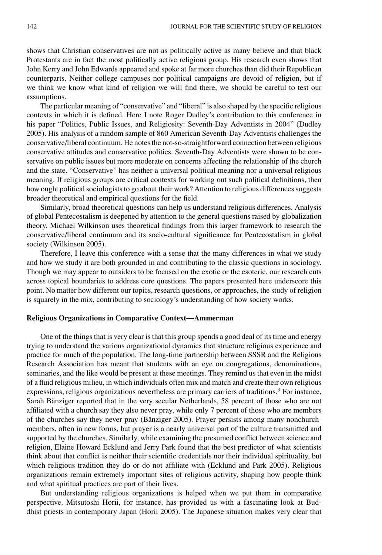shows that Christian conservatives are not as politically active as many believe and that black Protestants are in fact the most politically active religious group. His research even shows that John Kerry and John Edwards appeared and spoke at far more churches than did their Republican counterparts. Neither college campuses nor political campaigns are devoid of religion, but if we think we know what kind of religion we will find there, we should be careful to test our assumptions.

The particular meaning of "conservative" and "liberal" is also shaped by the specific religious contexts in which it is defined. Here I note Roger Dudley's contribution to this conference in his paper "Politics, Public Issues, and Religiosity: Seventh-Day Adventists in 2004" (Dudley 2005). His analysis of a random sample of 860 American Seventh-Day Adventists challenges the conservative/liberal continuum. He notes the not-so-straightforward connection between religious conservative attitudes and conservative politics. Seventh-Day Adventists were shown to be conservative on public issues but more moderate on concerns affecting the relationship of the church and the state. "Conservative" has neither a universal political meaning nor a universal religious meaning. If religious groups are critical contexts for working out such political definitions, then how ought political sociologists to go about their work? Attention to religious differences suggests broader theoretical and empirical questions for the field.

Similarly, broad theoretical questions can help us understand religious differences. Analysis of global Pentecostalism is deepened by attention to the general questions raised by globalization theory. Michael Wilkinson uses theoretical findings from this larger framework to research the conservative/liberal continuum and its socio-cultural significance for Pentecostalism in global society (Wilkinson 2005).

Therefore, I leave this conference with a sense that the many differences in what we study and how we study it are both grounded in and contributing to the classic questions in sociology. Though we may appear to outsiders to be focused on the exotic or the esoteric, our research cuts across topical boundaries to address core questions. The papers presented here underscore this point. No matter how different our topics, research questions, or approaches, the study of religion is squarely in the mix, contributing to sociology's understanding of how society works.

## **Religious Organizations in Comparative Context—Ammerman**

One of the things that is very clear is that this group spends a good deal of its time and energy trying to understand the various organizational dynamics that structure religious experience and practice for much of the population. The long-time partnership between SSSR and the Religious Research Association has meant that students with an eye on congregations, denominations, seminaries, and the like would be present at these meetings. They remind us that even in the midst of a fluid religious milieu, in which individuals often mix and match and create their own religious expressions, religious organizations nevertheless are primary carriers of traditions.<sup>3</sup> For instance, Sarah Bänziger reported that in the very secular Netherlands, 58 percent of those who are not affiliated with a church say they also never pray, while only 7 percent of those who are members of the churches say they never pray (Bänziger 2005). Prayer persists among many nonchurchmembers, often in new forms, but prayer is a nearly universal part of the culture transmitted and supported by the churches. Similarly, while examining the presumed conflict between science and religion, Elaine Howard Ecklund and Jerry Park found that the best predictor of what scientists think about that conflict is neither their scientific credentials nor their individual spirituality, but which religious tradition they do or do not affiliate with (Ecklund and Park 2005). Religious organizations remain extremely important sites of religious activity, shaping how people think and what spiritual practices are part of their lives.

But understanding religious organizations is helped when we put them in comparative perspective. Mitsutoshi Horii, for instance, has provided us with a fascinating look at Buddhist priests in contemporary Japan (Horii 2005). The Japanese situation makes very clear that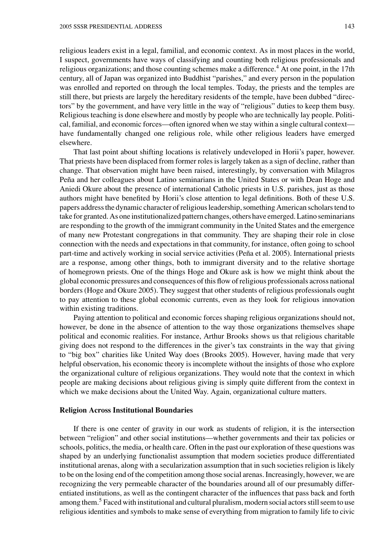religious leaders exist in a legal, familial, and economic context. As in most places in the world, I suspect, governments have ways of classifying and counting both religious professionals and religious organizations; and those counting schemes make a difference.<sup>4</sup> At one point, in the 17th century, all of Japan was organized into Buddhist "parishes," and every person in the population was enrolled and reported on through the local temples. Today, the priests and the temples are still there, but priests are largely the hereditary residents of the temple, have been dubbed "directors" by the government, and have very little in the way of "religious" duties to keep them busy. Religious teaching is done elsewhere and mostly by people who are technically lay people. Political, familial, and economic forces—often ignored when we stay within a single cultural context have fundamentally changed one religious role, while other religious leaders have emerged elsewhere.

That last point about shifting locations is relatively undeveloped in Horii's paper, however. That priests have been displaced from former roles is largely taken as a sign of decline, rather than change. That observation might have been raised, interestingly, by conversation with Milagros Peña and her colleagues about Latino seminarians in the United States or with Dean Hoge and Aniedi Okure about the presence of international Catholic priests in U.S. parishes, just as those authors might have benefited by Horii's close attention to legal definitions. Both of these U.S. papers address the dynamic character of religious leadership, something American scholars tend to take for granted. As one institutionalized pattern changes, others have emerged. Latino seminarians are responding to the growth of the immigrant community in the United States and the emergence of many new Protestant congregations in that community. They are shaping their role in close connection with the needs and expectations in that community, for instance, often going to school part-time and actively working in social service activities (Peña et al. 2005). International priests are a response, among other things, both to immigrant diversity and to the relative shortage of homegrown priests. One of the things Hoge and Okure ask is how we might think about the global economic pressures and consequences of this flow of religious professionals across national borders (Hoge and Okure 2005). They suggest that other students of religious professionals ought to pay attention to these global economic currents, even as they look for religious innovation within existing traditions.

Paying attention to political and economic forces shaping religious organizations should not, however, be done in the absence of attention to the way those organizations themselves shape political and economic realities. For instance, Arthur Brooks shows us that religious charitable giving does not respond to the differences in the giver's tax constraints in the way that giving to "big box" charities like United Way does (Brooks 2005). However, having made that very helpful observation, his economic theory is incomplete without the insights of those who explore the organizational culture of religious organizations. They would note that the context in which people are making decisions about religious giving is simply quite different from the context in which we make decisions about the United Way. Again, organizational culture matters.

## **Religion Across Institutional Boundaries**

If there is one center of gravity in our work as students of religion, it is the intersection between "religion" and other social institutions—whether governments and their tax policies or schools, politics, the media, or health care. Often in the past our exploration of these questions was shaped by an underlying functionalist assumption that modern societies produce differentiated institutional arenas, along with a secularization assumption that in such societies religion is likely to be on the losing end of the competition among those social arenas. Increasingly, however, we are recognizing the very permeable character of the boundaries around all of our presumably differentiated institutions, as well as the contingent character of the influences that pass back and forth among them.5 Faced with institutional and cultural pluralism, modern social actors still seem to use religious identities and symbols to make sense of everything from migration to family life to civic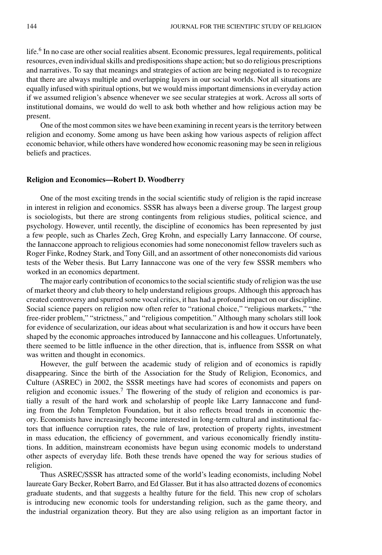life.<sup>6</sup> In no case are other social realities absent. Economic pressures, legal requirements, political resources, even individual skills and predispositions shape action; but so do religious prescriptions and narratives. To say that meanings and strategies of action are being negotiated is to recognize that there are always multiple and overlapping layers in our social worlds. Not all situations are equally infused with spiritual options, but we would miss important dimensions in everyday action if we assumed religion's absence whenever we see secular strategies at work. Across all sorts of institutional domains, we would do well to ask both whether and how religious action may be present.

One of the most common sites we have been examining in recent years is the territory between religion and economy. Some among us have been asking how various aspects of religion affect economic behavior, while others have wondered how economic reasoning may be seen in religious beliefs and practices.

#### **Religion and Economics—Robert D. Woodberry**

One of the most exciting trends in the social scientific study of religion is the rapid increase in interest in religion and economics. SSSR has always been a diverse group. The largest group is sociologists, but there are strong contingents from religious studies, political science, and psychology. However, until recently, the discipline of economics has been represented by just a few people, such as Charles Zech, Greg Krohn, and especially Larry Iannaccone. Of course, the Iannaccone approach to religious economies had some noneconomist fellow travelers such as Roger Finke, Rodney Stark, and Tony Gill, and an assortment of other noneconomists did various tests of the Weber thesis. But Larry Iannaccone was one of the very few SSSR members who worked in an economics department.

The major early contribution of economics to the social scientific study of religion was the use of market theory and club theory to help understand religious groups. Although this approach has created controversy and spurred some vocal critics, it has had a profound impact on our discipline. Social science papers on religion now often refer to "rational choice," "religious markets," "the free-rider problem," "strictness," and "religious competition." Although many scholars still look for evidence of secularization, our ideas about what secularization is and how it occurs have been shaped by the economic approaches introduced by Iannaccone and his colleagues. Unfortunately, there seemed to be little influence in the other direction, that is, influence from SSSR on what was written and thought in economics.

However, the gulf between the academic study of religion and of economics is rapidly disappearing. Since the birth of the Association for the Study of Religion, Economics, and Culture (ASREC) in 2002, the SSSR meetings have had scores of economists and papers on religion and economic issues.<sup>7</sup> The flowering of the study of religion and economics is partially a result of the hard work and scholarship of people like Larry Iannaccone and funding from the John Templeton Foundation, but it also reflects broad trends in economic theory. Economists have increasingly become interested in long-term cultural and institutional factors that influence corruption rates, the rule of law, protection of property rights, investment in mass education, the efficiency of government, and various economically friendly institutions. In addition, mainstream economists have begun using economic models to understand other aspects of everyday life. Both these trends have opened the way for serious studies of religion.

Thus ASREC/SSSR has attracted some of the world's leading economists, including Nobel laureate Gary Becker, Robert Barro, and Ed Glasser. But it has also attracted dozens of economics graduate students, and that suggests a healthy future for the field. This new crop of scholars is introducing new economic tools for understanding religion, such as the game theory, and the industrial organization theory. But they are also using religion as an important factor in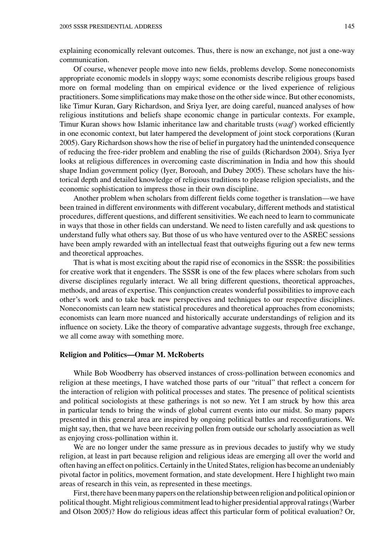explaining economically relevant outcomes. Thus, there is now an exchange, not just a one-way communication.

Of course, whenever people move into new fields, problems develop. Some noneconomists appropriate economic models in sloppy ways; some economists describe religious groups based more on formal modeling than on empirical evidence or the lived experience of religious practitioners. Some simplifications may make those on the other side wince. But other economists, like Timur Kuran, Gary Richardson, and Sriya Iyer, are doing careful, nuanced analyses of how religious institutions and beliefs shape economic change in particular contexts. For example, Timur Kuran shows how Islamic inheritance law and charitable trusts (*waqf*) worked efficiently in one economic context, but later hampered the development of joint stock corporations (Kuran 2005). Gary Richardson shows how the rise of belief in purgatory had the unintended consequence of reducing the free-rider problem and enabling the rise of guilds (Richardson 2004). Sriya Iyer looks at religious differences in overcoming caste discrimination in India and how this should shape Indian government policy (Iyer, Borooah, and Dubey 2005). These scholars have the historical depth and detailed knowledge of religious traditions to please religion specialists, and the economic sophistication to impress those in their own discipline.

Another problem when scholars from different fields come together is translation—we have been trained in different environments with different vocabulary, different methods and statistical procedures, different questions, and different sensitivities. We each need to learn to communicate in ways that those in other fields can understand. We need to listen carefully and ask questions to understand fully what others say. But those of us who have ventured over to the ASREC sessions have been amply rewarded with an intellectual feast that outweighs figuring out a few new terms and theoretical approaches.

That is what is most exciting about the rapid rise of economics in the SSSR: the possibilities for creative work that it engenders. The SSSR is one of the few places where scholars from such diverse disciplines regularly interact. We all bring different questions, theoretical approaches, methods, and areas of expertise. This conjunction creates wonderful possibilities to improve each other's work and to take back new perspectives and techniques to our respective disciplines. Noneconomists can learn new statistical procedures and theoretical approaches from economists; economists can learn more nuanced and historically accurate understandings of religion and its influence on society. Like the theory of comparative advantage suggests, through free exchange, we all come away with something more.

## **Religion and Politics—Omar M. McRoberts**

While Bob Woodberry has observed instances of cross-pollination between economics and religion at these meetings, I have watched those parts of our "ritual" that reflect a concern for the interaction of religion with political processes and states. The presence of political scientists and political sociologists at these gatherings is not so new. Yet I am struck by how this area in particular tends to bring the winds of global current events into our midst. So many papers presented in this general area are inspired by ongoing political battles and reconfigurations. We might say, then, that we have been receiving pollen from outside our scholarly association as well as enjoying cross-pollination within it.

We are no longer under the same pressure as in previous decades to justify why we study religion, at least in part because religion and religious ideas are emerging all over the world and often having an effect on politics. Certainly in the United States, religion has become an undeniably pivotal factor in politics, movement formation, and state development. Here I highlight two main areas of research in this vein, as represented in these meetings.

First, there have been many papers on the relationship between religion and political opinion or political thought. Might religious commitment lead to higher presidential approval ratings (Warber and Olson 2005)? How do religious ideas affect this particular form of political evaluation? Or,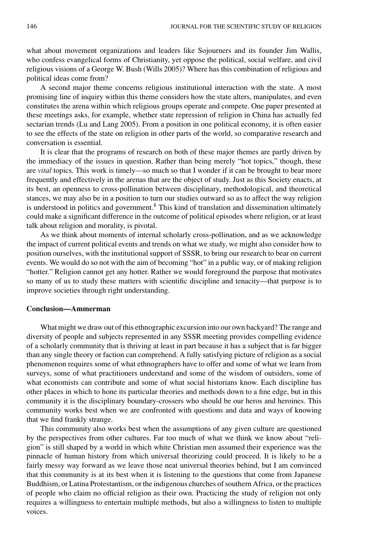what about movement organizations and leaders like Sojourners and its founder Jim Wallis, who confess evangelical forms of Christianity, yet oppose the political, social welfare, and civil religious visions of a George W. Bush (Wills 2005)? Where has this combination of religious and political ideas come from?

A second major theme concerns religious institutional interaction with the state. A most promising line of inquiry within this theme considers how the state alters, manipulates, and even constitutes the arena within which religious groups operate and compete. One paper presented at these meetings asks, for example, whether state repression of religion in China has actually fed sectarian trends (Lu and Lang 2005). From a position in one political economy, it is often easier to see the effects of the state on religion in other parts of the world, so comparative research and conversation is essential.

It is clear that the programs of research on both of these major themes are partly driven by the immediacy of the issues in question. Rather than being merely "hot topics," though, these are *vital* topics. This work is timely—so much so that I wonder if it can be brought to bear more frequently and effectively in the arenas that are the object of study. Just as this Society enacts, at its best, an openness to cross-pollination between disciplinary, methodological, and theoretical stances, we may also be in a position to turn our studies outward so as to affect the way religion is understood in politics and government.<sup>8</sup> This kind of translation and dissemination ultimately could make a significant difference in the outcome of political episodes where religion, or at least talk about religion and morality, is pivotal.

As we think about moments of internal scholarly cross-pollination, and as we acknowledge the impact of current political events and trends on what we study, we might also consider how to position ourselves, with the institutional support of SSSR, to bring our research to bear on current events. We would do so not with the aim of becoming "hot" in a public way, or of making religion "hotter." Religion cannot get any hotter. Rather we would foreground the purpose that motivates so many of us to study these matters with scientific discipline and tenacity—that purpose is to improve societies through right understanding.

#### **Conclusion—Ammerman**

What might we draw out of this ethnographic excursion into our own backyard? The range and diversity of people and subjects represented in any SSSR meeting provides compelling evidence of a scholarly community that is thriving at least in part because it has a subject that is far bigger than any single theory or faction can comprehend. A fully satisfying picture of religion as a social phenomenon requires some of what ethnographers have to offer and some of what we learn from surveys, some of what practitioners understand and some of the wisdom of outsiders, some of what economists can contribute and some of what social historians know. Each discipline has other places in which to hone its particular theories and methods down to a fine edge, but in this community it is the disciplinary boundary-crossers who should be our heros and heroines. This community works best when we are confronted with questions and data and ways of knowing that we find frankly strange.

This community also works best when the assumptions of any given culture are questioned by the perspectives from other cultures. Far too much of what we think we know about "religion" is still shaped by a world in which white Christian men assumed their experience was the pinnacle of human history from which universal theorizing could proceed. It is likely to be a fairly messy way forward as we leave those neat universal theories behind, but I am convinced that this community is at its best when it is listening to the questions that come from Japanese Buddhism, or Latina Protestantism, or the indigenous churches of southern Africa, or the practices of people who claim no official religion as their own. Practicing the study of religion not only requires a willingness to entertain multiple methods, but also a willingness to listen to multiple voices.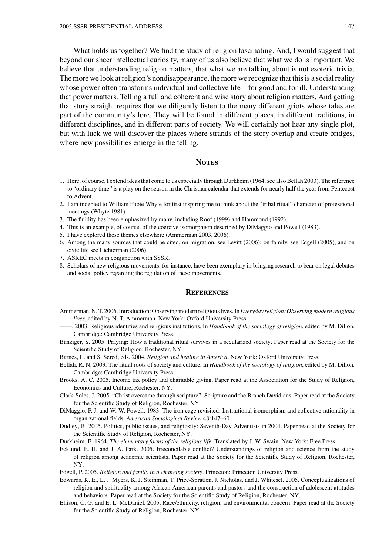What holds us together? We find the study of religion fascinating. And, I would suggest that beyond our sheer intellectual curiosity, many of us also believe that what we do is important. We believe that understanding religion matters, that what we are talking about is not esoteric trivia. The more we look at religion's nondisappearance, the more we recognize that this is a social reality whose power often transforms individual and collective life—for good and for ill. Understanding that power matters. Telling a full and coherent and wise story about religion matters. And getting that story straight requires that we diligently listen to the many different griots whose tales are part of the community's lore. They will be found in different places, in different traditions, in different disciplines, and in different parts of society. We will certainly not hear any single plot, but with luck we will discover the places where strands of the story overlap and create bridges, where new possibilities emerge in the telling.

## **NOTES**

- 1. Here, of course, I extend ideas that come to us especially through Durkheim (1964; see also Bellah 2003). The reference to "ordinary time" is a play on the season in the Christian calendar that extends for nearly half the year from Pentecost to Advent.
- 2. I am indebted to William Foote Whyte for first inspiring me to think about the "tribal ritual" character of professional meetings (Whyte 1981).
- 3. The fluidity has been emphasized by many, including Roof (1999) and Hammond (1992).
- 4. This is an example, of course, of the coercive isomorphism described by DiMaggio and Powell (1983).
- 5. I have explored these themes elsewhere (Ammerman 2003, 2006).
- 6. Among the many sources that could be cited, on migration, see Levitt (2006); on family, see Edgell (2005), and on civic life see Lichterman (2006).
- 7. ASREC meets in conjunction with SSSR.
- 8. Scholars of new religious movements, for instance, have been exemplary in bringing research to bear on legal debates and social policy regarding the regulation of these movements.

#### **References**

- Ammerman, N. T. 2006. Introduction: Observing modern religious lives. In*Everyday religion: Observing modern religious lives*, edited by N. T. Ammerman. New York: Oxford University Press.
- ——. 2003. Religious identities and religious institutions. In *Handbook of the sociology of religion*, edited by M. Dillon. Cambridge: Cambridge University Press.
- Bänziger, S. 2005. Praying: How a traditional ritual survives in a secularized society. Paper read at the Society for the Scientific Study of Religion, Rochester, NY.
- Barnes, L. and S. Sered, eds. 2004. *Religion and healing in America*. New York: Oxford University Press.
- Bellah, R. N. 2003. The ritual roots of society and culture. In *Handbook of the sociology of religion*, edited by M. Dillon. Cambridge: Cambridge University Press.
- Brooks, A. C. 2005. Income tax policy and charitable giving. Paper read at the Association for the Study of Religion, Economics and Culture, Rochester, NY.
- Clark-Soles, J. 2005. "Christ overcame through scripture": Scripture and the Branch Davidians. Paper read at the Society for the Scientific Study of Religion, Rochester, NY.
- DiMaggio, P. J. and W. W. Powell. 1983. The iron cage revisited: Institutional isomorphism and collective rationality in organizational fields. *American Sociological Review* 48:147–60.
- Dudley, R. 2005. Politics, public issues, and religiosity: Seventh-Day Adventists in 2004. Paper read at the Society for the Scientific Study of Religion, Rochester, NY.
- Durkheim, E. 1964. *The elementary forms of the religious life*. Translated by J. W. Swain. New York: Free Press.
- Ecklund, E. H. and J. A. Park. 2005. Irreconcilable conflict? Understandings of religion and science from the study of religion among academic scientists. Paper read at the Society for the Scientific Study of Religion, Rochester, NY.
- Edgell, P. 2005. *Religion and family in a changing society*. Princeton: Princeton University Press.
- Edwards, K. E., L. J. Myers, K. J. Steinman, T. Price-Spratlen, J. Nicholas, and J. Whitesel. 2005. Conceptualizations of religion and spirituality among African American parents and pastors and the construction of adolescent attitudes and behaviors. Paper read at the Society for the Scientific Study of Religion, Rochester, NY.
- Ellison, C. G. and E. L. McDaniel. 2005. Race/ethnicity, religion, and environmental concern. Paper read at the Society for the Scientific Study of Religion, Rochester, NY.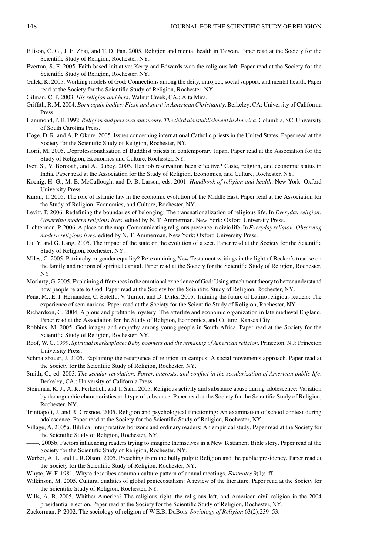- Ellison, C. G., J. E. Zhai, and T. D. Fan. 2005. Religion and mental health in Taiwan. Paper read at the Society for the Scientific Study of Religion, Rochester, NY.
- Everton, S. F. 2005. Faith-based initiative: Kerry and Edwards woo the religious left. Paper read at the Society for the Scientific Study of Religion, Rochester, NY.
- Galek, K. 2005. Working models of God: Connections among the deity, introject, social support, and mental health. Paper read at the Society for the Scientific Study of Religion, Rochester, NY.
- Gilman, C. P. 2003. *His religion and hers*. Walnut Creek, CA.: Alta Mira.
- Griffith, R. M. 2004. *Born again bodies: Flesh and spirit in American Christianity*. Berkeley, CA: University of California Press.
- Hammond, P. E. 1992. *Religion and personal autonomy: The third disestablishment in America*. Columbia, SC: University of South Carolina Press.
- Hoge, D. R. and A. P. Okure. 2005. Issues concerning international Catholic priests in the United States. Paper read at the Society for the Scientific Study of Religion, Rochester, NY.
- Horii, M. 2005. Deprofessionalisation of Buddhist priests in contemporary Japan. Paper read at the Association for the Study of Religion, Economics and Culture, Rochester, NY.
- Iyer, S., V. Borooah, and A. Dubey. 2005. Has job reservation been effective? Caste, religion, and economic status in India. Paper read at the Association for the Study of Religion, Economics, and Culture, Rochester, NY.
- Koenig, H. G., M. E. McCullough, and D. B. Larson, eds. 2001. *Handbook of religion and health*. New York: Oxford University Press.
- Kuran, T. 2005. The role of Islamic law in the economic evolution of the Middle East. Paper read at the Association for the Study of Religion, Economics, and Culture, Rochester, NY.
- Levitt, P. 2006. Redefining the boundaries of belonging: The transnationalization of religious life. In *Everyday religion: Observing modern religious lives*, edited by N. T. Ammerman. New York: Oxford University Press.
- Lichterman, P. 2006. A place on the map: Communicating religious presence in civic life. In *Everyday religion: Observing modern religious lives*, edited by N. T. Ammerman. New York: Oxford University Press.
- Lu, Y. and G. Lang. 2005. The impact of the state on the evolution of a sect. Paper read at the Society for the Scientific Study of Religion, Rochester, NY.
- Miles, C. 2005. Patriarchy or gender equality? Re-examining New Testament writings in the light of Becker's treatise on the family and notions of spiritual capital. Paper read at the Society for the Scientific Study of Religion, Rochester, NY.
- Moriarty, G. 2005. Explaining differences in the emotional experience of God: Using attachment theory to better understand how people relate to God. Paper read at the Society for the Scientific Study of Religion, Rochester, NY.
- Peña, M., E. I. Hernandez, C. Sotello, V. Turner, and D. Dirks. 2005. Training the future of Latino religious leaders: The experience of seminarians. Paper read at the Society for the Scientific Study of Religion, Rochester, NY.
- Richardson, G. 2004. A pious and profitable mystery: The afterlife and economic organization in late medieval England. Paper read at the Association for the Study of Religion, Economics, and Culture, Kansas City.
- Robbins, M. 2005. God images and empathy among young people in South Africa. Paper read at the Society for the Scientific Study of Religion, Rochester, NY.
- Roof, W. C. 1999. *Spiritual marketplace: Baby boomers and the remaking of American religion*. Princeton, N J: Princeton University Press.
- Schmalzbauer, J. 2005. Explaining the resurgence of religion on campus: A social movements approach. Paper read at the Society for the Scientific Study of Religion, Rochester, NY.
- Smith, C., ed. 2003. *The secular revolution: Power, interests, and conflict in the secularization of American public life*. Berkeley, CA.: University of California Press.
- Steinman, K. J., A. K. Ferketich, and T. Sahr. 2005. Religious activity and substance abuse during adolescence: Variation by demographic characteristics and type of substance. Paper read at the Society for the Scientific Study of Religion, Rochester, NY.
- Trinitapoli, J. and R. Crosnoe. 2005. Religion and psychological functioning: An examination of school context during adolescence. Paper read at the Society for the Scientific Study of Religion, Rochester, NY.
- Village, A. 2005a. Biblical interpretative horizons and ordinary readers: An empirical study. Paper read at the Society for the Scientific Study of Religion, Rochester, NY.
- ——. 2005b. Factors influencing readers trying to imagine themselves in a New Testament Bible story. Paper read at the Society for the Scientific Study of Religion, Rochester, NY.
- Warber, A. L. and L. R.Olson. 2005. Preaching from the bully pulpit: Religion and the public presidency. Paper read at the Society for the Scientific Study of Religion, Rochester, NY.
- Whyte, W. F. 1981. Whyte describes common culture pattern of annual meetings. *Footnotes* 9(1):1ff.
- Wilkinson, M. 2005. Cultural qualities of global pentecostalism: A review of the literature. Paper read at the Society for the Scientific Study of Religion, Rochester, NY.
- Wills, A. B. 2005. Whither America? The religious right, the religious left, and American civil religion in the 2004 presidential election. Paper read at the Society for the Scientific Study of Religion, Rochester, NY.
- Zuckerman, P. 2002. The sociology of religion of W.E.B. DuBois. *Sociology of Religion* 63(2):239–53.